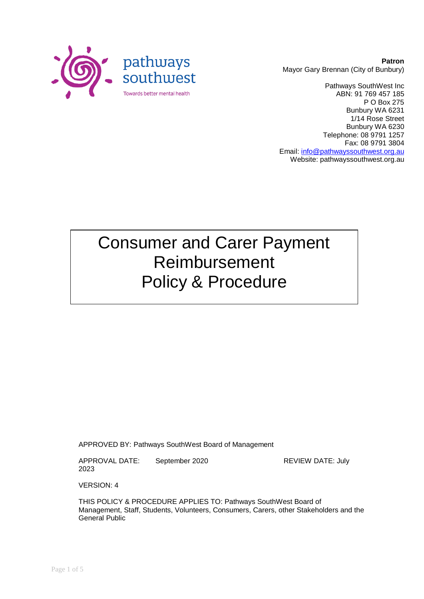

**Patron** Mayor Gary Brennan (City of Bunbury)

Pathways SouthWest Inc ABN: 91 769 457 185 P O Box 275 Bunbury WA 6231 1/14 Rose Street Bunbury WA 6230 Telephone: 08 9791 1257 Fax: 08 9791 3804 Email: [info@pathwayssouthwest.org.au](mailto:info@pathwayssouthwest.org.au) Website: pathwayssouthwest.org.au

# Consumer and Carer Payment Reimbursement Policy & Procedure

APPROVED BY: Pathways SouthWest Board of Management

APPROVAL DATE: September 2020 REVIEW DATE: July 2023

VERSION: 4

THIS POLICY & PROCEDURE APPLIES TO: Pathways SouthWest Board of Management, Staff, Students, Volunteers, Consumers, Carers, other Stakeholders and the General Public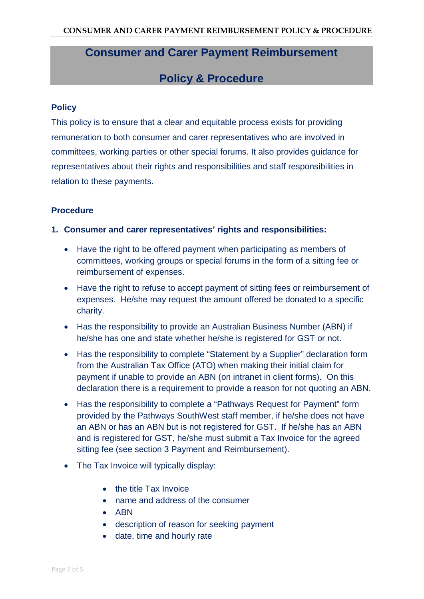## **Consumer and Carer Payment Reimbursement**

### **Policy & Procedure**

#### **Policy**

This policy is to ensure that a clear and equitable process exists for providing remuneration to both consumer and carer representatives who are involved in committees, working parties or other special forums. It also provides guidance for representatives about their rights and responsibilities and staff responsibilities in relation to these payments.

#### **Procedure**

#### **1. Consumer and carer representatives' rights and responsibilities:**

- Have the right to be offered payment when participating as members of committees, working groups or special forums in the form of a sitting fee or reimbursement of expenses.
- Have the right to refuse to accept payment of sitting fees or reimbursement of expenses. He/she may request the amount offered be donated to a specific charity.
- Has the responsibility to provide an Australian Business Number (ABN) if he/she has one and state whether he/she is registered for GST or not.
- Has the responsibility to complete "Statement by a Supplier" declaration form from the Australian Tax Office (ATO) when making their initial claim for payment if unable to provide an ABN (on intranet in client forms). On this declaration there is a requirement to provide a reason for not quoting an ABN.
- Has the responsibility to complete a "Pathways Request for Payment" form provided by the Pathways SouthWest staff member, if he/she does not have an ABN or has an ABN but is not registered for GST. If he/she has an ABN and is registered for GST, he/she must submit a Tax Invoice for the agreed sitting fee (see section 3 Payment and Reimbursement).
- The Tax Invoice will typically display:
	- the title Tax Invoice
	- name and address of the consumer
	- ABN
	- description of reason for seeking payment
	- date, time and hourly rate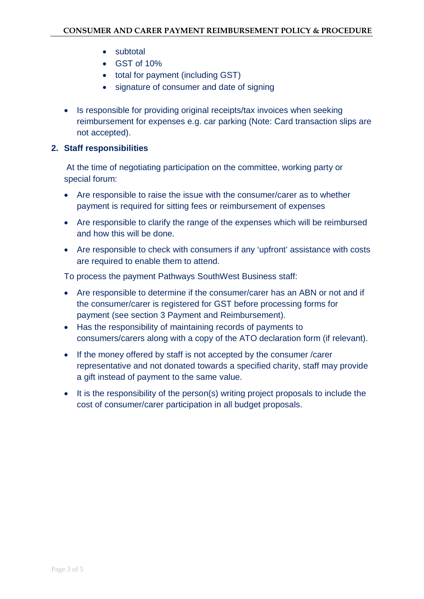- subtotal
- GST of 10%
- total for payment (including GST)
- signature of consumer and date of signing
- Is responsible for providing original receipts/tax invoices when seeking reimbursement for expenses e.g. car parking (Note: Card transaction slips are not accepted).

#### **2. Staff responsibilities**

At the time of negotiating participation on the committee, working party or special forum:

- Are responsible to raise the issue with the consumer/carer as to whether payment is required for sitting fees or reimbursement of expenses
- Are responsible to clarify the range of the expenses which will be reimbursed and how this will be done.
- Are responsible to check with consumers if any 'upfront' assistance with costs are required to enable them to attend.

To process the payment Pathways SouthWest Business staff:

- Are responsible to determine if the consumer/carer has an ABN or not and if the consumer/carer is registered for GST before processing forms for payment (see section 3 Payment and Reimbursement).
- Has the responsibility of maintaining records of payments to consumers/carers along with a copy of the ATO declaration form (if relevant).
- If the money offered by staff is not accepted by the consumer /carer representative and not donated towards a specified charity, staff may provide a gift instead of payment to the same value.
- It is the responsibility of the person(s) writing project proposals to include the cost of consumer/carer participation in all budget proposals.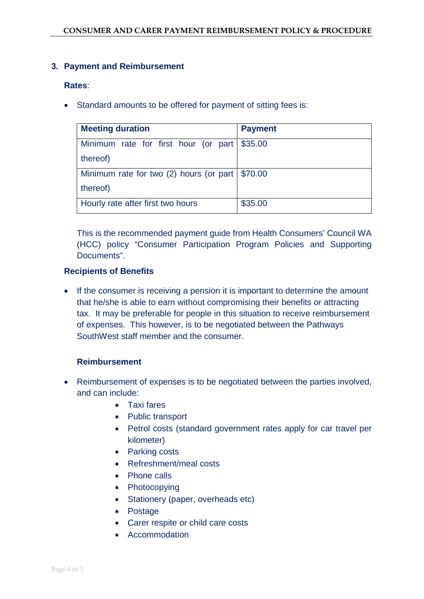#### **3. Payment and Reimbursement**

#### **Rates**:

• Standard amounts to be offered for payment of sitting fees is:

| <b>Meeting duration</b>                           | <b>Payment</b> |
|---------------------------------------------------|----------------|
| Minimum rate for first hour (or part   \$35.00    |                |
| thereof)                                          |                |
| Minimum rate for two (2) hours (or part   \$70.00 |                |
| thereof)                                          |                |
| Hourly rate after first two hours                 | \$35.00        |

This is the recommended payment guide from Health Consumers' Council WA (HCC) policy "Consumer Participation Program Policies and Supporting Documents".

#### **Recipients of Benefits**

• If the consumer is receiving a pension it is important to determine the amount that he/she is able to earn without compromising their benefits or attracting tax. It may be preferable for people in this situation to receive reimbursement of expenses. This however, is to be negotiated between the Pathways SouthWest staff member and the consumer.

#### **Reimbursement**

- Reimbursement of expenses is to be negotiated between the parties involved, and can include:
	- Taxi fares
	- Public transport
	- Petrol costs (standard government rates apply for car travel per kilometer)
	- Parking costs
	- Refreshment/meal costs
	- Phone calls
	- Photocopying
	- Stationery (paper, overheads etc)
	- Postage
	- Carer respite or child care costs
	- Accommodation